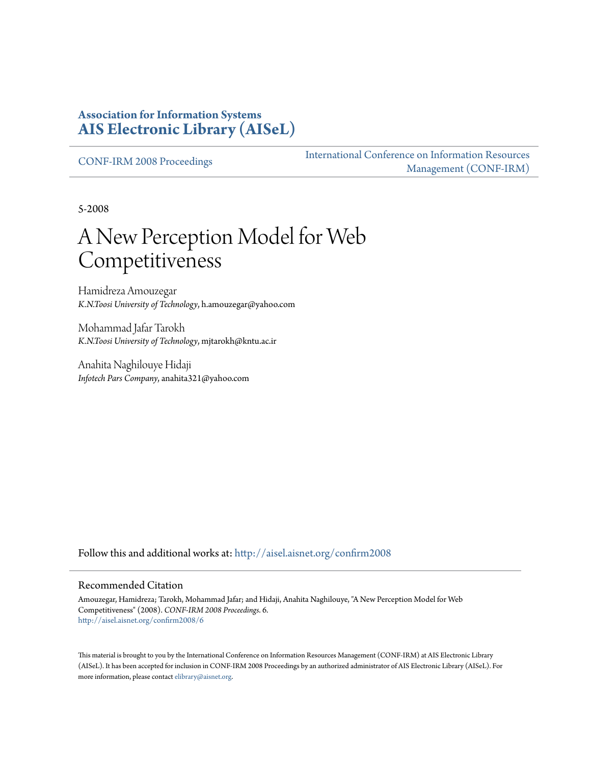#### **Association for Information Systems [AIS Electronic Library \(AISeL\)](http://aisel.aisnet.org?utm_source=aisel.aisnet.org%2Fconfirm2008%2F6&utm_medium=PDF&utm_campaign=PDFCoverPages)**

[CONF-IRM 2008 Proceedings](http://aisel.aisnet.org/confirm2008?utm_source=aisel.aisnet.org%2Fconfirm2008%2F6&utm_medium=PDF&utm_campaign=PDFCoverPages)

[International Conference on Information Resources](http://aisel.aisnet.org/conf-irm?utm_source=aisel.aisnet.org%2Fconfirm2008%2F6&utm_medium=PDF&utm_campaign=PDFCoverPages) [Management \(CONF-IRM\)](http://aisel.aisnet.org/conf-irm?utm_source=aisel.aisnet.org%2Fconfirm2008%2F6&utm_medium=PDF&utm_campaign=PDFCoverPages)

5-2008

# A New Perception Model for Web Competitiveness

Hamidreza Amouzegar *K.N.Toosi University of Technology*, h.amouzegar@yahoo.com

Mohammad Jafar Tarokh *K.N.Toosi University of Technology*, mjtarokh@kntu.ac.ir

Anahita Naghilouye Hidaji *Infotech Pars Company*, anahita321@yahoo.com

Follow this and additional works at: [http://aisel.aisnet.org/confirm2008](http://aisel.aisnet.org/confirm2008?utm_source=aisel.aisnet.org%2Fconfirm2008%2F6&utm_medium=PDF&utm_campaign=PDFCoverPages)

#### Recommended Citation

Amouzegar, Hamidreza; Tarokh, Mohammad Jafar; and Hidaji, Anahita Naghilouye, "A New Perception Model for Web Competitiveness" (2008). *CONF-IRM 2008 Proceedings*. 6. [http://aisel.aisnet.org/confirm2008/6](http://aisel.aisnet.org/confirm2008/6?utm_source=aisel.aisnet.org%2Fconfirm2008%2F6&utm_medium=PDF&utm_campaign=PDFCoverPages)

This material is brought to you by the International Conference on Information Resources Management (CONF-IRM) at AIS Electronic Library (AISeL). It has been accepted for inclusion in CONF-IRM 2008 Proceedings by an authorized administrator of AIS Electronic Library (AISeL). For more information, please contact [elibrary@aisnet.org.](mailto:elibrary@aisnet.org%3E)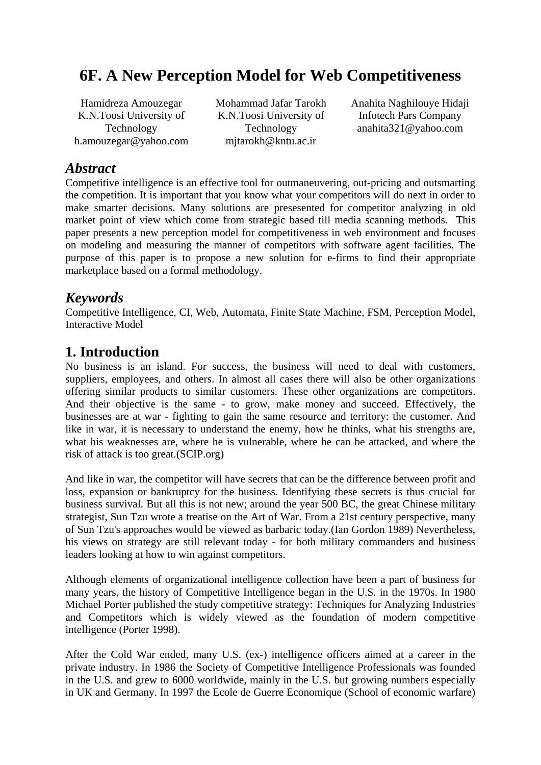# **6F. A New Perception Model for Web Competitiveness**

Hamidreza Amouzegar K.N.Toosi University of Technology h.amouzegar@yahoo.com Mohammad Jafar Tarokh K.N.Toosi University of Technology mjtarokh@kntu.ac.ir

Anahita Naghilouye Hidaji Infotech Pars Company anahita321@yahoo.com

## *Abstract*

Competitive intelligence is an effective tool for outmaneuvering, out-pricing and outsmarting the competition. It is important that you know what your competitors will do next in order to make smarter decisions. Many solutions are presesented for competitor analyzing in old market point of view which come from strategic based till media scanning methods. This paper presents a new perception model for competitiveness in web environment and focuses on modeling and measuring the manner of competitors with software agent facilities. The purpose of this paper is to propose a new solution for e-firms to find their appropriate marketplace based on a formal methodology.

# *Keywords*

Competitive Intelligence, CI, Web, Automata, Finite State Machine, FSM, Perception Model, Interactive Model

# **1. Introduction**

No business is an island. For success, the business will need to deal with customers, suppliers, employees, and others. In almost all cases there will also be other organizations offering similar products to similar customers. These other organizations are competitors. And their objective is the same - to grow, make money and succeed. Effectively, the businesses are at war - fighting to gain the same resource and territory: the customer. And like in war, it is necessary to understand the enemy, how he thinks, what his strengths are, what his weaknesses are, where he is vulnerable, where he can be attacked, and where the risk of attack is too great.(SCIP.org)

And like in war, the competitor will have secrets that can be the difference between profit and loss, expansion or bankruptcy for the business. Identifying these secrets is thus crucial for business survival. But all this is not new; around the year 500 BC, the great Chinese military strategist, Sun Tzu wrote a treatise on the Art of War. From a 21st century perspective, many of Sun Tzu's approaches would be viewed as barbaric today.(Ian Gordon 1989) Nevertheless, his views on strategy are still relevant today - for both military commanders and business leaders looking at how to win against competitors.

Although elements of organizational intelligence collection have been a part of business for many years, the history of Competitive Intelligence began in the U.S. in the 1970s. In 1980 Michael Porter published the study competitive strategy: Techniques for Analyzing Industries and Competitors which is widely viewed as the foundation of modern competitive intelligence (Porter 1998).

After the Cold War ended, many U.S. (ex-) intelligence officers aimed at a career in the private industry. In 1986 the Society of Competitive Intelligence Professionals was founded in the U.S. and grew to 6000 worldwide, mainly in the U.S. but growing numbers especially in UK and Germany. In 1997 the Ecole de Guerre Economique (School of economic warfare)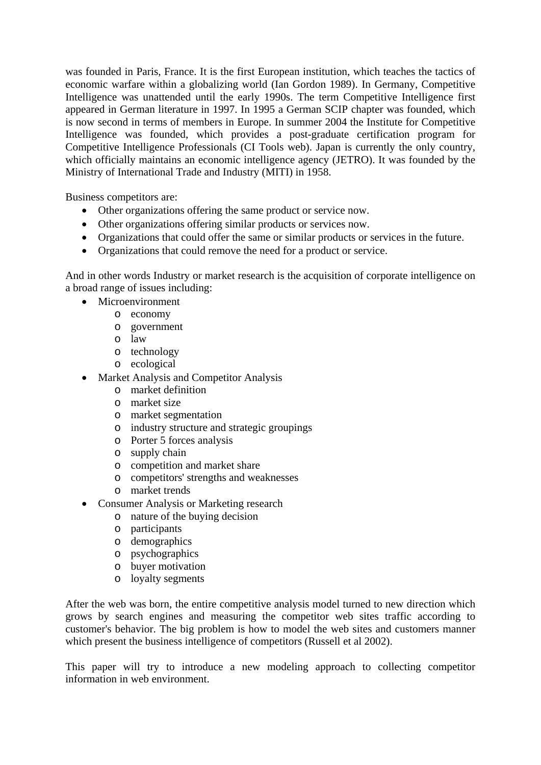was founded in Paris, France. It is the first European institution, which teaches the tactics of economic warfare within a globalizing world (Ian Gordon 1989). In Germany, Competitive Intelligence was unattended until the early 1990s. The term Competitive Intelligence first appeared in German literature in 1997. In 1995 a German SCIP chapter was founded, which is now second in terms of members in Europe. In summer 2004 the Institute for Competitive Intelligence was founded, which provides a post-graduate certification program for Competitive Intelligence Professionals (CI Tools web). Japan is currently the only country, which officially maintains an economic intelligence agency (JETRO). It was founded by the Ministry of International Trade and Industry (MITI) in 1958.

Business competitors are:

- Other organizations offering the same product or service now.
- Other organizations offering similar products or services now.
- Organizations that could offer the same or similar products or services in the future.
- Organizations that could remove the need for a product or service.

And in other words Industry or market research is the acquisition of corporate intelligence on a broad range of issues including:

- Microenvironment
	- o economy
		- o government
		- o law
		- o technology
		- o ecological
- Market Analysis and Competitor Analysis
	- o market definition
	- o market size
	- o market segmentation
	- o industry structure and strategic groupings
	- o Porter 5 forces analysis
	- o supply chain
	- o competition and market share
	- o competitors' strengths and weaknesses
	- o market trends
- Consumer Analysis or Marketing research
	- o nature of the buying decision
	- o participants
	- o demographics
	- o psychographics
	- o buyer motivation
	- o loyalty segments

After the web was born, the entire competitive analysis model turned to new direction which grows by search engines and measuring the competitor web sites traffic according to customer's behavior. The big problem is how to model the web sites and customers manner which present the business intelligence of competitors (Russell et al 2002).

This paper will try to introduce a new modeling approach to collecting competitor information in web environment.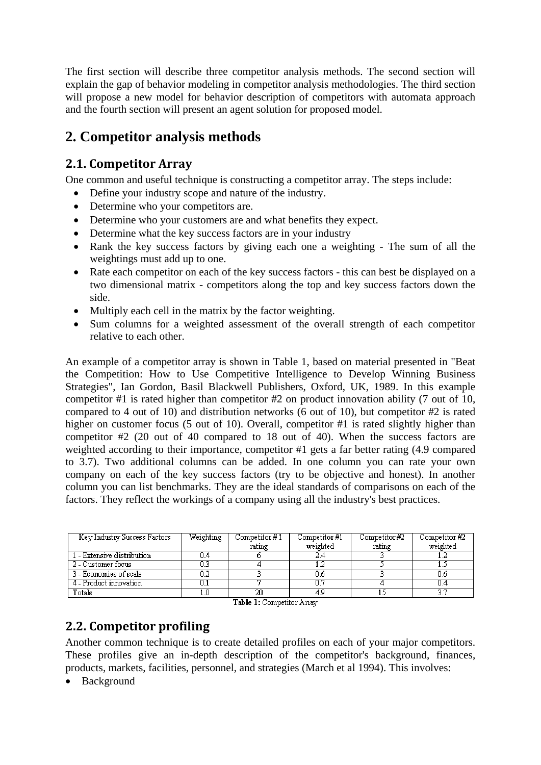The first section will describe three competitor analysis methods. The second section will explain the gap of behavior modeling in competitor analysis methodologies. The third section will propose a new model for behavior description of competitors with automata approach and the fourth section will present an agent solution for proposed model.

# **2. Competitor analysis methods**

### **2.1. Competitor Array**

One common and useful technique is constructing a competitor array. The steps include:

- Define your industry scope and nature of the industry.
- Determine who your competitors are.
- Determine who your customers are and what benefits they expect.
- Determine what the key success factors are in your industry
- Rank the key success factors by giving each one a weighting The sum of all the weightings must add up to one.
- Rate each competitor on each of the key success factors this can best be displayed on a two dimensional matrix - competitors along the top and key success factors down the side.
- Multiply each cell in the matrix by the factor weighting.
- Sum columns for a weighted assessment of the overall strength of each competitor relative to each other.

An example of a competitor array is shown in Table 1, based on material presented in "Beat the Competition: How to Use Competitive Intelligence to Develop Winning Business Strategies", Ian Gordon, Basil Blackwell Publishers, Oxford, UK, 1989. In this example competitor #1 is rated higher than competitor #2 on product innovation ability (7 out of 10, compared to 4 out of 10) and distribution networks (6 out of 10), but competitor #2 is rated higher on customer focus (5 out of 10). Overall, competitor #1 is rated slightly higher than competitor #2 (20 out of 40 compared to 18 out of 40). When the success factors are weighted according to their importance, competitor #1 gets a far better rating (4.9 compared to 3.7). Two additional columns can be added. In one column you can rate your own company on each of the key success factors (try to be objective and honest). In another column you can list benchmarks. They are the ideal standards of comparisons on each of the factors. They reflect the workings of a company using all the industry's best practices.

| Key Industry Success Factors | Weighting | Competitor #1 | Competitor #1 | Competitor#2 | Competitor $#2$ |
|------------------------------|-----------|---------------|---------------|--------------|-----------------|
|                              |           | rating        | weighted      | rating       | weighted        |
| 1 - Extensive distribution   |           |               |               |              |                 |
| 2 - Customer focus           |           |               |               |              |                 |
| 3 - Economies of scale       |           |               | Ū.6           |              |                 |
| 4 - Product innovation       |           |               | 0.7           |              |                 |
| Totals                       |           |               |               |              |                 |

Table 1: Competitor Array

# **2.2. Competitor profiling**

Another common technique is to create detailed profiles on each of your major competitors. These profiles give an in-depth description of the competitor's background, finances, products, markets, facilities, personnel, and strategies (March et al 1994). This involves:

• Background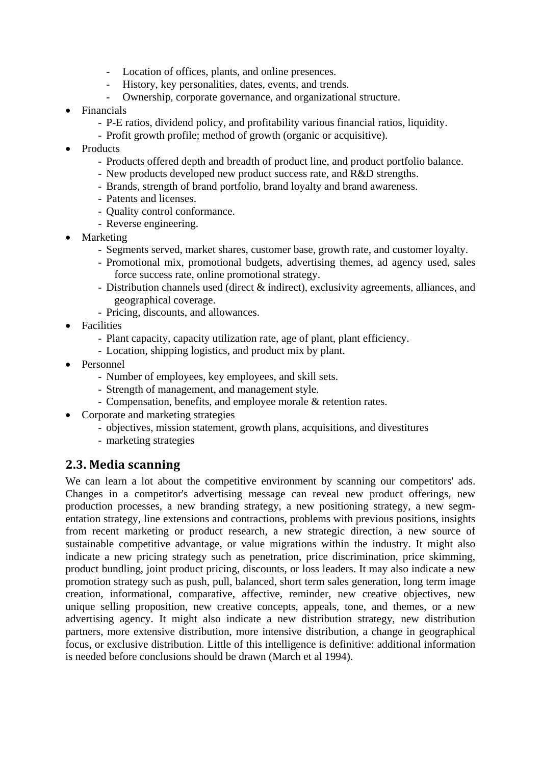- Location of offices, plants, and online presences.
- History, key personalities, dates, events, and trends.
- Ownership, corporate governance, and organizational structure.
- Financials
	- P-E ratios, dividend policy, and profitability various financial ratios, liquidity.
	- Profit growth profile; method of growth (organic or acquisitive).
- Products
	- Products offered depth and breadth of product line, and product portfolio balance.
	- New products developed new product success rate, and R&D strengths.
	- Brands, strength of brand portfolio, brand loyalty and brand awareness.
	- Patents and licenses.
	- Quality control conformance.
	- Reverse engineering.
- Marketing
	- Segments served, market shares, customer base, growth rate, and customer loyalty.
	- Promotional mix, promotional budgets, advertising themes, ad agency used, sales force success rate, online promotional strategy.
	- Distribution channels used (direct & indirect), exclusivity agreements, alliances, and geographical coverage.
	- Pricing, discounts, and allowances.
- Facilities
	- Plant capacity, capacity utilization rate, age of plant, plant efficiency.
	- Location, shipping logistics, and product mix by plant.
- Personnel
	- Number of employees, key employees, and skill sets.
	- Strength of management, and management style.
	- Compensation, benefits, and employee morale & retention rates.
- Corporate and marketing strategies
	- objectives, mission statement, growth plans, acquisitions, and divestitures
	- marketing strategies

#### **2.3. Media scanning**

We can learn a lot about the competitive environment by scanning our competitors' ads. Changes in a competitor's advertising message can reveal new product offerings, new production processes, a new branding strategy, a new positioning strategy, a new segmentation strategy, line extensions and contractions, problems with previous positions, insights from recent marketing or product research, a new strategic direction, a new source of sustainable competitive advantage, or value migrations within the industry. It might also indicate a new pricing strategy such as penetration, price discrimination, price skimming, product bundling, joint product pricing, discounts, or loss leaders. It may also indicate a new promotion strategy such as push, pull, balanced, short term sales generation, long term image creation, informational, comparative, affective, reminder, new creative objectives, new unique selling proposition, new creative concepts, appeals, tone, and themes, or a new advertising agency. It might also indicate a new distribution strategy, new distribution partners, more extensive distribution, more intensive distribution, a change in geographical focus, or exclusive distribution. Little of this intelligence is definitive: additional information is needed before conclusions should be drawn (March et al 1994).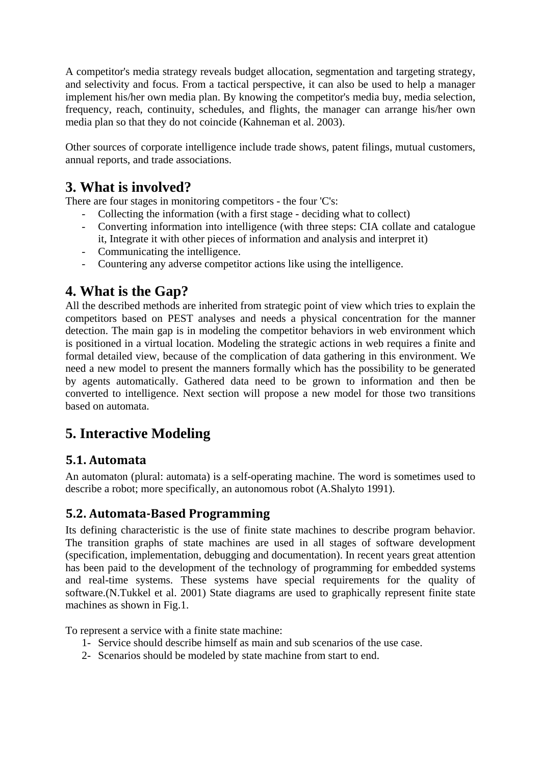A competitor's media strategy reveals budget allocation, segmentation and targeting strategy, and selectivity and focus. From a tactical perspective, it can also be used to help a manager implement his/her own media plan. By knowing the competitor's media buy, media selection, frequency, reach, continuity, schedules, and flights, the manager can arrange his/her own media plan so that they do not coincide (Kahneman et al. 2003).

Other sources of corporate intelligence include trade shows, patent filings, mutual customers, annual reports, and trade associations.

# **3. What is involved?**

There are four stages in monitoring competitors - the four 'C's:

- Collecting the information (with a first stage deciding what to collect)
- Converting information into intelligence (with three steps: CIA collate and catalogue it, Integrate it with other pieces of information and analysis and interpret it)
- Communicating the intelligence.
- Countering any adverse competitor actions like using the intelligence.

# **4. What is the Gap?**

All the described methods are inherited from strategic point of view which tries to explain the competitors based on PEST analyses and needs a physical concentration for the manner detection. The main gap is in modeling the competitor behaviors in web environment which is positioned in a virtual location. Modeling the strategic actions in web requires a finite and formal detailed view, because of the complication of data gathering in this environment. We need a new model to present the manners formally which has the possibility to be generated by agents automatically. Gathered data need to be grown to information and then be converted to intelligence. Next section will propose a new model for those two transitions based on automata.

# **5. Interactive Modeling**

### **5.1. Automata**

An automaton (plural: automata) is a self-operating machine. The word is sometimes used to describe a robot; more specifically, an autonomous robot (A.Shalyto 1991).

#### **5.2. AutomataBased Programming**

Its defining characteristic is the use of finite state machines to describe program behavior. The transition graphs of state machines are used in all stages of software development (specification, implementation, debugging and documentation). In recent years great attention has been paid to the development of the technology of programming for embedded systems and real-time systems. These systems have special requirements for the quality of software.(N.Tukkel et al. 2001) State diagrams are used to graphically represent finite state machines as shown in Fig.1.

To represent a service with a finite state machine:

- 1- Service should describe himself as main and sub scenarios of the use case.
- 2- Scenarios should be modeled by state machine from start to end.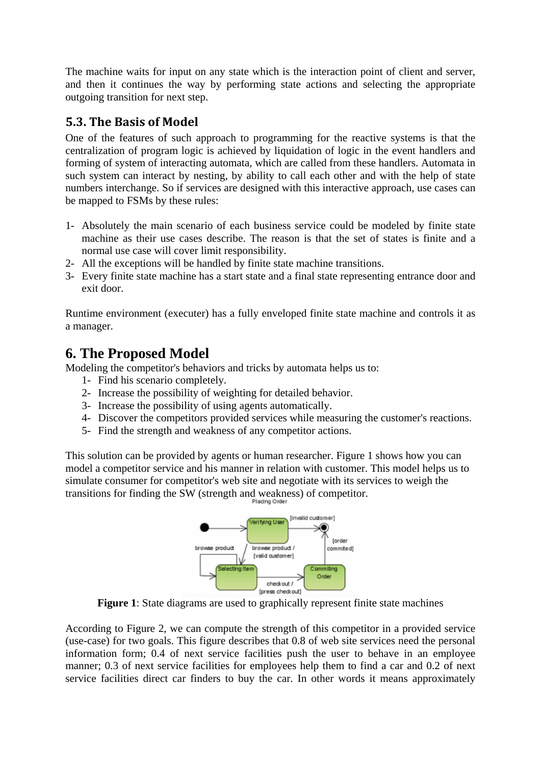The machine waits for input on any state which is the interaction point of client and server, and then it continues the way by performing state actions and selecting the appropriate outgoing transition for next step.

#### **5.3. The Basis of Model**

One of the features of such approach to programming for the reactive systems is that the centralization of program logic is achieved by liquidation of logic in the event handlers and forming of system of interacting automata, which are called from these handlers. Automata in such system can interact by nesting, by ability to call each other and with the help of state numbers interchange. So if services are designed with this interactive approach, use cases can be mapped to FSMs by these rules:

- 1- Absolutely the main scenario of each business service could be modeled by finite state machine as their use cases describe. The reason is that the set of states is finite and a normal use case will cover limit responsibility.
- 2- All the exceptions will be handled by finite state machine transitions.
- 3- Every finite state machine has a start state and a final state representing entrance door and exit door.

Runtime environment (executer) has a fully enveloped finite state machine and controls it as a manager.

# **6. The Proposed Model**

Modeling the competitor's behaviors and tricks by automata helps us to:

- 1- Find his scenario completely.
- 2- Increase the possibility of weighting for detailed behavior.
- 3- Increase the possibility of using agents automatically.
- 4- Discover the competitors provided services while measuring the customer's reactions.
- 5- Find the strength and weakness of any competitor actions.

This solution can be provided by agents or human researcher. Figure 1 shows how you can model a competitor service and his manner in relation with customer. This model helps us to simulate consumer for competitor's web site and negotiate with its services to weigh the transitions for finding the SW (strength and weakness) of competitor.



**Figure 1**: State diagrams are used to graphically represent finite state machines

According to Figure 2, we can compute the strength of this competitor in a provided service (use-case) for two goals. This figure describes that 0.8 of web site services need the personal information form; 0.4 of next service facilities push the user to behave in an employee manner; 0.3 of next service facilities for employees help them to find a car and 0.2 of next service facilities direct car finders to buy the car. In other words it means approximately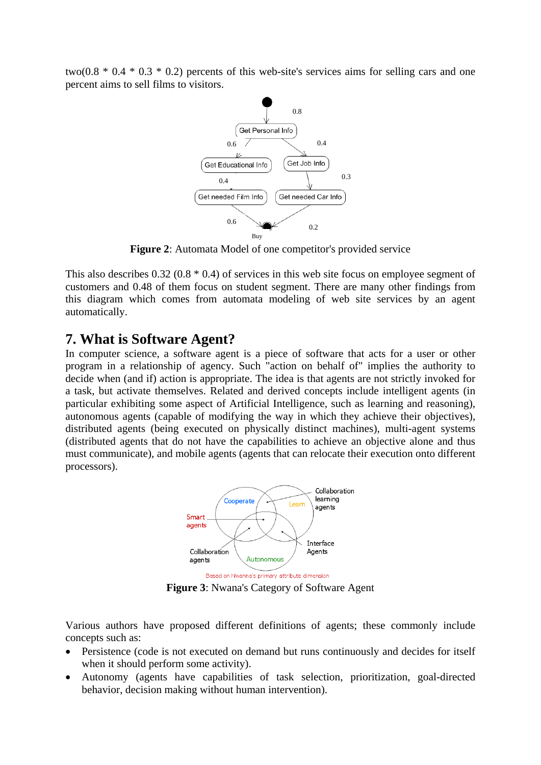two( $0.8 * 0.4 * 0.3 * 0.2$ ) percents of this web-site's services aims for selling cars and one percent aims to sell films to visitors.



**Figure 2**: Automata Model of one competitor's provided service

This also describes 0.32 (0.8 \* 0.4) of services in this web site focus on employee segment of customers and 0.48 of them focus on student segment. There are many other findings from this diagram which comes from automata modeling of web site services by an agent automatically.

#### **7. What is Software Agent?**

In computer science, a software agent is a piece of software that acts for a user or other program in a relationship of agency. Such "action on behalf of" implies the authority to decide when (and if) action is appropriate. The idea is that agents are not strictly invoked for a task, but activate themselves. Related and derived concepts include intelligent agents (in particular exhibiting some aspect of Artificial Intelligence, such as learning and reasoning), autonomous agents (capable of modifying the way in which they achieve their objectives), distributed agents (being executed on physically distinct machines), multi-agent systems (distributed agents that do not have the capabilities to achieve an objective alone and thus must communicate), and mobile agents (agents that can relocate their execution onto different processors).



**Figure 3**: Nwana's Category of Software Agent

Various authors have proposed different definitions of agents; these commonly include concepts such as:

- Persistence (code is not executed on demand but runs continuously and decides for itself when it should perform some activity).
- Autonomy (agents have capabilities of task selection, prioritization, goal-directed behavior, decision making without human intervention).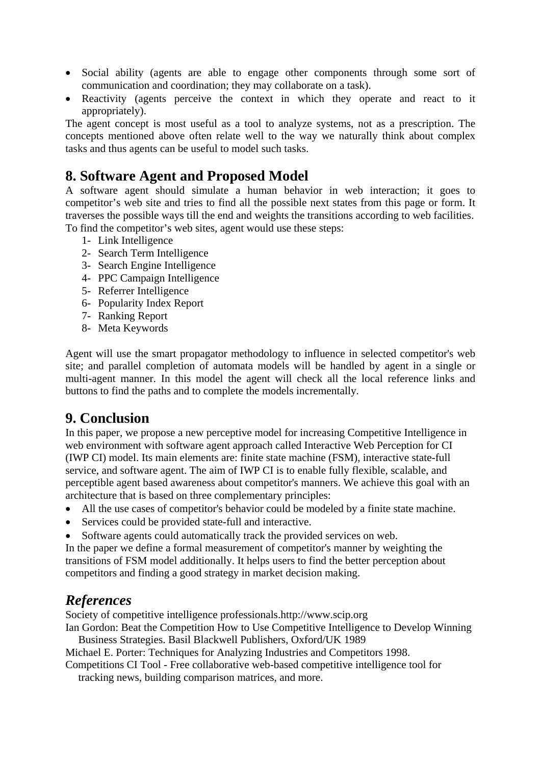- Social ability (agents are able to engage other components through some sort of communication and coordination; they may collaborate on a task).
- Reactivity (agents perceive the context in which they operate and react to it appropriately).

The agent concept is most useful as a tool to analyze systems, not as a prescription. The concepts mentioned above often relate well to the way we naturally think about complex tasks and thus agents can be useful to model such tasks.

# **8. Software Agent and Proposed Model**

A software agent should simulate a human behavior in web interaction; it goes to competitor's web site and tries to find all the possible next states from this page or form. It traverses the possible ways till the end and weights the transitions according to web facilities. To find the competitor's web sites, agent would use these steps:

- 1- Link Intelligence
- 2- Search Term Intelligence
- 3- Search Engine Intelligence
- 4- PPC Campaign Intelligence
- 5- Referrer Intelligence
- 6- Popularity Index Report
- 7- Ranking Report
- 8- Meta Keywords

Agent will use the smart propagator methodology to influence in selected competitor's web site; and parallel completion of automata models will be handled by agent in a single or multi-agent manner. In this model the agent will check all the local reference links and buttons to find the paths and to complete the models incrementally.

### **9. Conclusion**

In this paper, we propose a new perceptive model for increasing Competitive Intelligence in web environment with software agent approach called Interactive Web Perception for CI (IWP CI) model. Its main elements are: finite state machine (FSM), interactive state-full service, and software agent. The aim of IWP CI is to enable fully flexible, scalable, and perceptible agent based awareness about competitor's manners. We achieve this goal with an architecture that is based on three complementary principles:

- All the use cases of competitor's behavior could be modeled by a finite state machine.
- Services could be provided state-full and interactive.
- Software agents could automatically track the provided services on web.

In the paper we define a formal measurement of competitor's manner by weighting the transitions of FSM model additionally. It helps users to find the better perception about competitors and finding a good strategy in market decision making.

# *References*

Society of competitive intelligence professionals.http://www.scip.org

Ian Gordon: Beat the Competition How to Use Competitive Intelligence to Develop Winning Business Strategies. Basil Blackwell Publishers, Oxford/UK 1989

Michael E. Porter: Techniques for Analyzing Industries and Competitors 1998.

Competitions CI Tool - Free collaborative web-based competitive intelligence tool for

tracking news, building comparison matrices, and more.